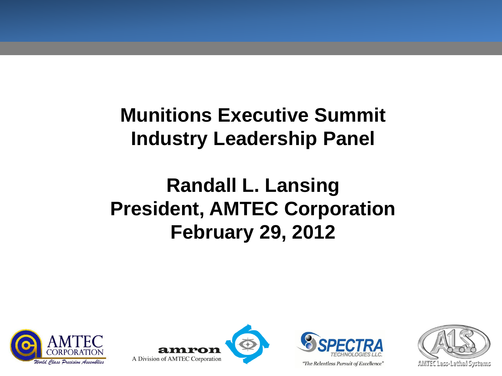## **Munitions Executive Summit Industry Leadership Panel**

# **Randall L. Lansing President, AMTEC Corporation February 29, 2012**







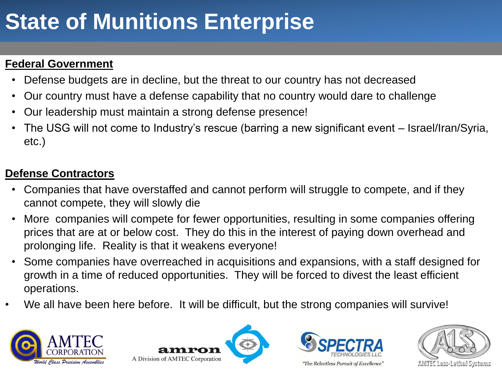# **State of Munitions Enterprise**

### **Federal Government**

- Defense budgets are in decline, but the threat to our country has not decreased
- Our country must have a defense capability that no country would dare to challenge
- Our leadership must maintain a strong defense presence!
- The USG will not come to Industry's rescue (barring a new significant event Israel/Iran/Syria, etc.)

#### **Defense Contractors**

- Companies that have overstaffed and cannot perform will struggle to compete, and if they cannot compete, they will slowly die
- More companies will compete for fewer opportunities, resulting in some companies offering prices that are at or below cost. They do this in the interest of paying down overhead and prolonging life. Reality is that it weakens everyone!
- Some companies have overreached in acquisitions and expansions, with a staff designed for growth in a time of reduced opportunities. They will be forced to divest the least efficient operations.
- We all have been here before. It will be difficult, but the strong companies will survive!